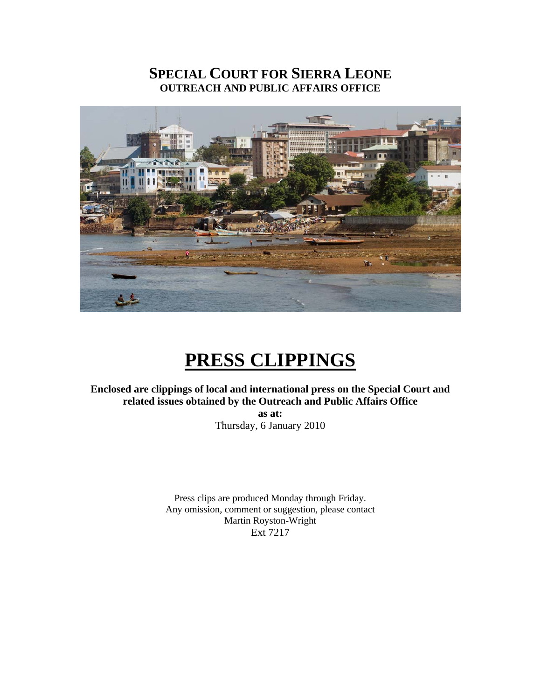# **SPECIAL COURT FOR SIERRA LEONE OUTREACH AND PUBLIC AFFAIRS OFFICE**



# **PRESS CLIPPINGS**

**Enclosed are clippings of local and international press on the Special Court and related issues obtained by the Outreach and Public Affairs Office** 

**as at:**  Thursday, 6 January 2010

Press clips are produced Monday through Friday. Any omission, comment or suggestion, please contact Martin Royston-Wright Ext 7217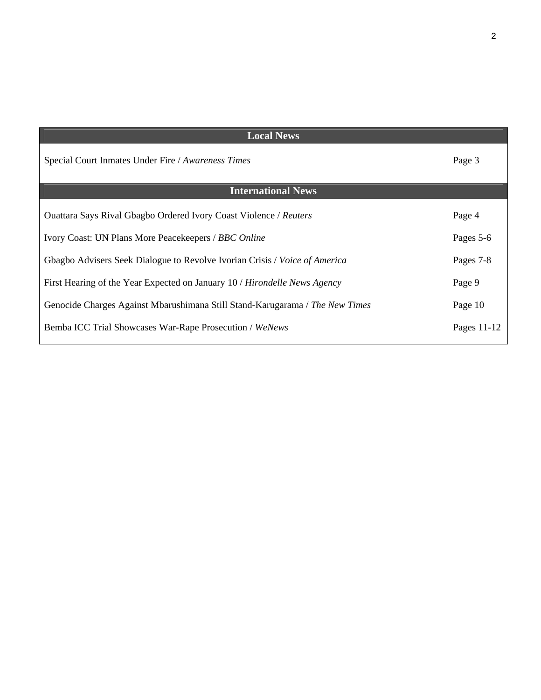| <b>Local News</b>                                                            |             |
|------------------------------------------------------------------------------|-------------|
| Special Court Inmates Under Fire / Awareness Times                           | Page 3      |
| <b>International News</b>                                                    |             |
|                                                                              |             |
| Ouattara Says Rival Gbagbo Ordered Ivory Coast Violence / Reuters            | Page 4      |
|                                                                              |             |
| Ivory Coast: UN Plans More Peacekeepers / BBC Online                         | Pages 5-6   |
| Gbagbo Advisers Seek Dialogue to Revolve Ivorian Crisis / Voice of America   | Pages 7-8   |
|                                                                              |             |
| First Hearing of the Year Expected on January 10 / Hirondelle News Agency    | Page 9      |
|                                                                              |             |
| Genocide Charges Against Mbarushimana Still Stand-Karugarama / The New Times | Page 10     |
|                                                                              |             |
| Bemba ICC Trial Showcases War-Rape Prosecution / WeNews                      | Pages 11-12 |
|                                                                              |             |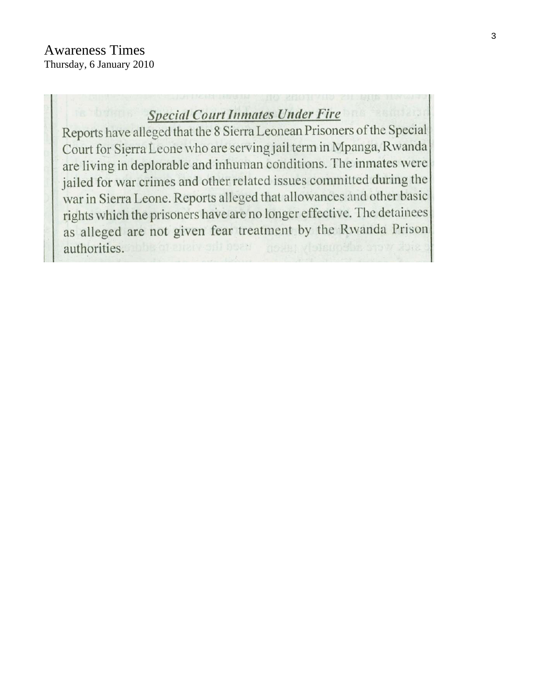# **Special Court Inmates Under Fire**

Reports have alleged that the 8 Sierra Leonean Prisoners of the Special Court for Sierra Leone who are serving jail term in Mpanga, Rwanda are living in deplorable and inhuman conditions. The inmates were jailed for war crimes and other related issues committed during the war in Sierra Leone. Reports alleged that allowances and other basic rights which the prisoners have are no longer effective. The detainees as alleged are not given fear treatment by the Rwanda Prison authorities. of an are gift boat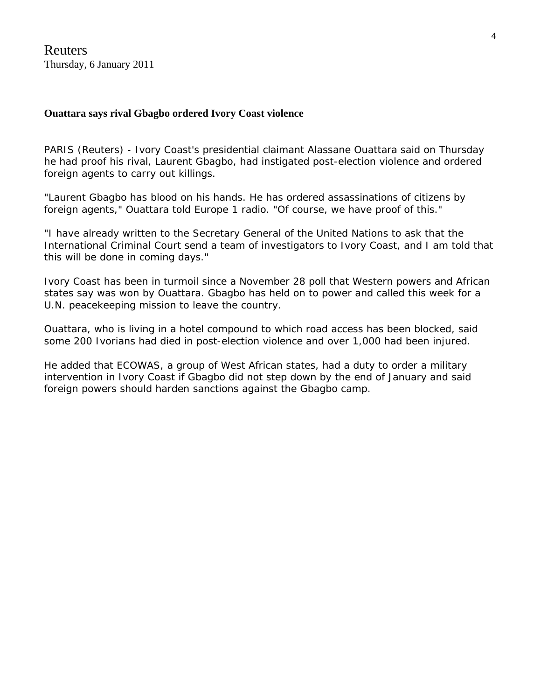Reuters Thursday, 6 January 2011

#### **Ouattara says rival Gbagbo ordered Ivory Coast violence**

PARIS (Reuters) - Ivory Coast's presidential claimant Alassane Ouattara said on Thursday he had proof his rival, Laurent Gbagbo, had instigated post-election violence and ordered foreign agents to carry out killings.

"Laurent Gbagbo has blood on his hands. He has ordered assassinations of citizens by foreign agents," Ouattara told Europe 1 radio. "Of course, we have proof of this."

"I have already written to the Secretary General of the United Nations to ask that the International Criminal Court send a team of investigators to Ivory Coast, and I am told that this will be done in coming days."

Ivory Coast has been in turmoil since a November 28 poll that Western powers and African states say was won by Ouattara. Gbagbo has held on to power and called this week for a U.N. peacekeeping mission to leave the country.

Ouattara, who is living in a hotel compound to which road access has been blocked, said some 200 Ivorians had died in post-election violence and over 1,000 had been injured.

He added that ECOWAS, a group of West African states, had a duty to order a military intervention in Ivory Coast if Gbagbo did not step down by the end of January and said foreign powers should harden sanctions against the Gbagbo camp.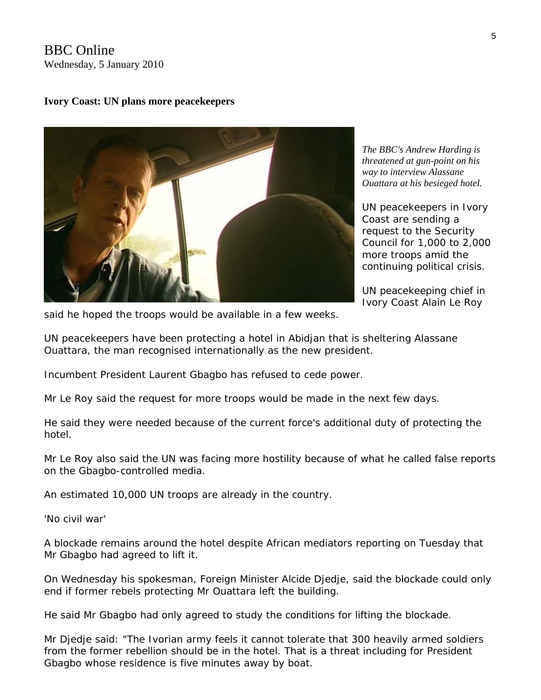# BBC Online Wednesday, 5 January 2010

## **Ivory Coast: UN plans more peacekeepers**



*The BBC's Andrew Harding is threatened at gun-point on his way to interview Alassane Ouattara at his besieged hotel.* 

UN peacekeepers in Ivory Coast are sending a request to the Security Council for 1,000 to 2,000 more troops amid the continuing political crisis.

UN peacekeeping chief in Ivory Coast Alain Le Roy

said he hoped the troops would be available in a few weeks.

UN peacekeepers have been protecting a hotel in Abidjan that is sheltering Alassane Ouattara, the man recognised internationally as the new president.

Incumbent President Laurent Gbagbo has refused to cede power.

Mr Le Roy said the request for more troops would be made in the next few days.

He said they were needed because of the current force's additional duty of protecting the hotel.

Mr Le Roy also said the UN was facing more hostility because of what he called false reports on the Gbagbo-controlled media.

An estimated 10,000 UN troops are already in the country.

'No civil war'

A blockade remains around the hotel despite African mediators reporting on Tuesday that Mr Gbagbo had agreed to lift it.

On Wednesday his spokesman, Foreign Minister Alcide Djedje, said the blockade could only end if former rebels protecting Mr Ouattara left the building.

He said Mr Gbagbo had only agreed to study the conditions for lifting the blockade.

Mr Djedje said: "The Ivorian army feels it cannot tolerate that 300 heavily armed soldiers from the former rebellion should be in the hotel. That is a threat including for President Gbagbo whose residence is five minutes away by boat.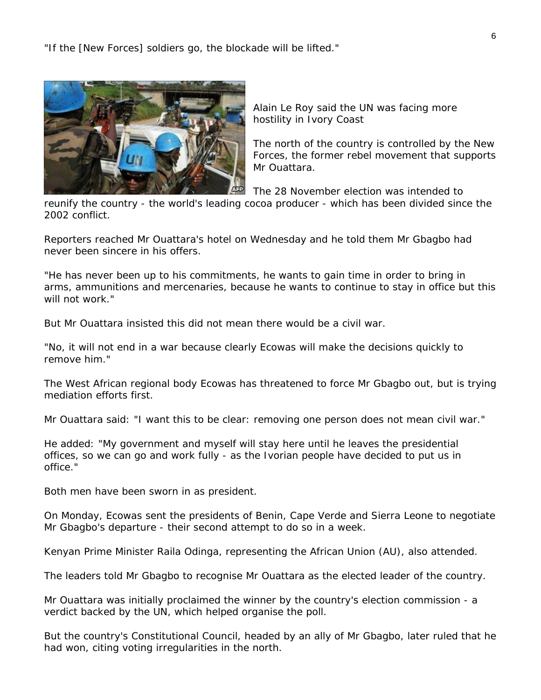"If the [New Forces] soldiers go, the blockade will be lifted."



*Alain Le Roy said the UN was facing more hostility in Ivory Coast* 

The north of the country is controlled by the New Forces, the former rebel movement that supports Mr Ouattara.

The 28 November election was intended to

reunify the country - the world's leading cocoa producer - which has been divided since the 2002 conflict.

Reporters reached Mr Ouattara's hotel on Wednesday and he told them Mr Gbagbo had never been sincere in his offers.

"He has never been up to his commitments, he wants to gain time in order to bring in arms, ammunitions and mercenaries, because he wants to continue to stay in office but this will not work."

But Mr Ouattara insisted this did not mean there would be a civil war.

"No, it will not end in a war because clearly Ecowas will make the decisions quickly to remove him."

The West African regional body Ecowas has threatened to force Mr Gbagbo out, but is trying mediation efforts first.

Mr Ouattara said: "I want this to be clear: removing one person does not mean civil war."

He added: "My government and myself will stay here until he leaves the presidential offices, so we can go and work fully - as the Ivorian people have decided to put us in office."

Both men have been sworn in as president.

On Monday, Ecowas sent the presidents of Benin, Cape Verde and Sierra Leone to negotiate Mr Gbagbo's departure - their second attempt to do so in a week.

Kenyan Prime Minister Raila Odinga, representing the African Union (AU), also attended.

The leaders told Mr Gbagbo to recognise Mr Ouattara as the elected leader of the country.

Mr Ouattara was initially proclaimed the winner by the country's election commission - a verdict backed by the UN, which helped organise the poll.

But the country's Constitutional Council, headed by an ally of Mr Gbagbo, later ruled that he had won, citing voting irregularities in the north.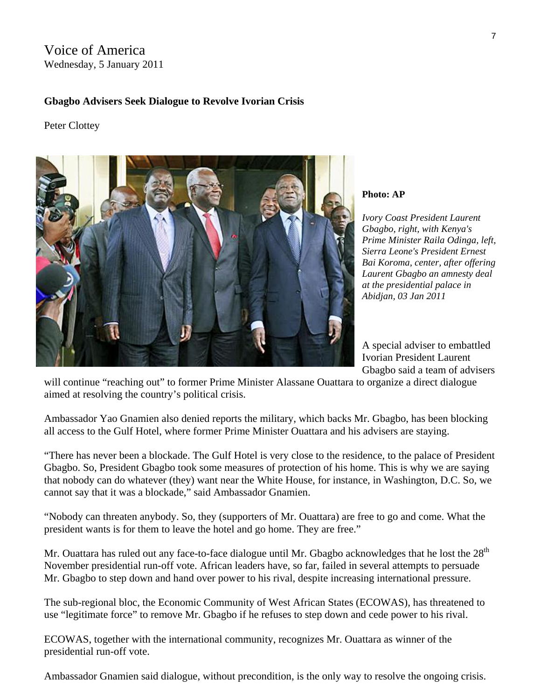Voice of America Wednesday, 5 January 2011

#### **Gbagbo Advisers Seek Dialogue to Revolve Ivorian Crisis**

Peter Clottey



**Photo: AP** 

*Ivory Coast President Laurent Gbagbo, right, with Kenya's Prime Minister Raila Odinga, l eft,*  Sierra Leone's President Ernest *Bai Koroma, center, after offering Laurent Gbagbo an amnesty d eal at the presidential palace in Abidjan, 03 Jan 2011* 

A special adviser to embattled Ivorian President Laurent Gbagbo said a team of advisers

will continue "reaching out" to former Prime Minister Alassane Ouattara to organize a direct dialogue aimed at resolving the country's political crisis.

Ambassador Yao Gnamien also denied reports the military, which backs Mr. Gbagbo, has been blocking all access to the Gulf Hotel, where former Prime Minister Ouattara and his advisers are staying.

"There has never been a blockade. The Gulf Hotel is very close to the residence, to the palace of President Gbagbo. So, President Gbagbo took some measures of protection of his home. This is why we are saying that nobody can do whatever (they) want near the White House, for instance, in Washington, D.C. So, we cannot say that it was a blockade," said Ambassador Gnamien.

"Nobody can threaten anybody. So, they (supporters of Mr. Ouattara) are free to go and come. What the president wants is for them to leave the hotel and go home. They are free."

Mr. Ouattara has ruled out any face-to-face dialogue until Mr. Gbagbo acknowledges that he lost the 28<sup>th</sup> November presidential run-off vote. African leaders have, so far, failed in several attempts to persuade Mr. Gbagbo to step down and hand over power to his rival, despite increasing international pressure.

The sub-regional bloc, the Economic Community of West African States (ECOWAS), has threatened to use "legitimate force" to remove Mr. Gbagbo if he refuses to step down and cede power to his rival.

ECOWAS, together with the international community, recognizes Mr. Ouattara as winner of the presidential run-off vote.

Ambassador Gnamien said dialogue, without precondition, is the only way to resolve the ongoing crisis.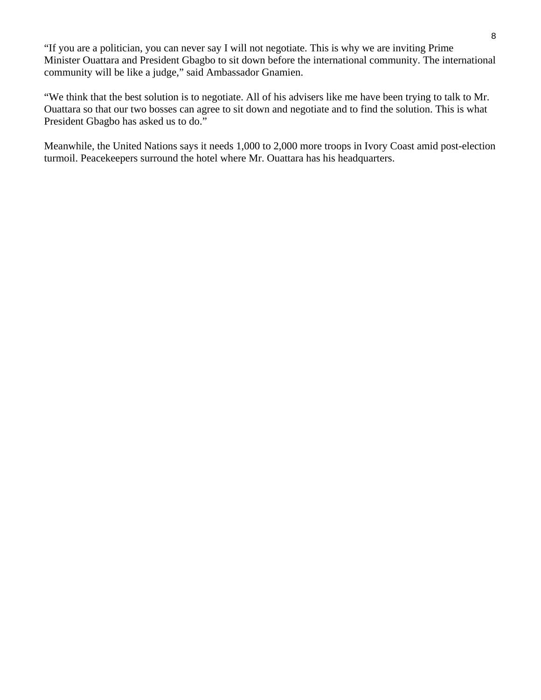"If you are a politician, you can never say I will not negotiate. This is why we are inviting Prime Minister Ouattara and President Gbagbo to sit down before the international community. The international community will be like a judge," said Ambassador Gnamien.

"We think that the best solution is to negotiate. All of his advisers like me have been trying to talk to Mr. Ouattara so that our two bosses can agree to sit down and negotiate and to find the solution. This is what President Gbagbo has asked us to do."

Meanwhile, the United Nations says it needs 1,000 to 2,000 more troops in Ivory Coast amid post-election turmoil. Peacekeepers surround the hotel where Mr. Ouattara has his headquarters.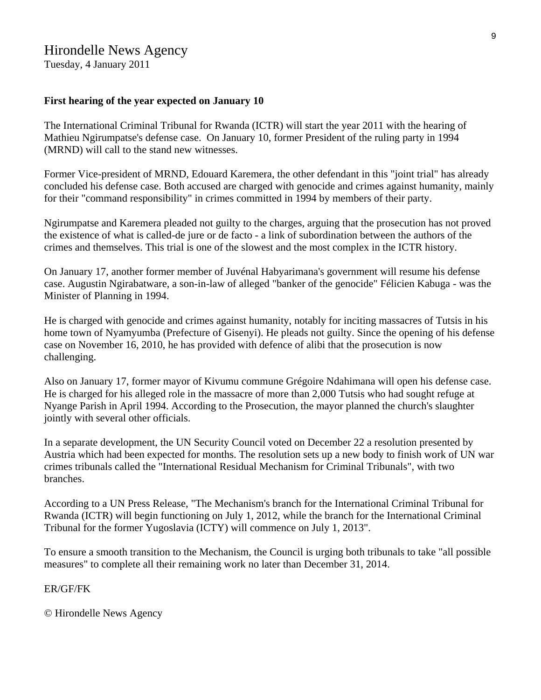# Hirondelle News Agency

Tuesday, 4 January 2011

#### **First hearing of the year expected on January 10**

The International Criminal Tribunal for Rwanda (ICTR) will start the year 2011 with the hearing of Mathieu Ngirumpatse's defense case. On January 10, former President of the ruling party in 1994 (MRND) will call to the stand new witnesses.

Former Vice-president of MRND, Edouard Karemera, the other defendant in this "joint trial" has already concluded his defense case. Both accused are charged with genocide and crimes against humanity, mainly for their "command responsibility" in crimes committed in 1994 by members of their party.

Ngirumpatse and Karemera pleaded not guilty to the charges, arguing that the prosecution has not proved the existence of what is called-de jure or de facto - a link of subordination between the authors of the crimes and themselves. This trial is one of the slowest and the most complex in the ICTR history.

On January 17, another former member of Juvénal Habyarimana's government will resume his defense case. Augustin Ngirabatware, a son-in-law of alleged "banker of the genocide" Félicien Kabuga - was the Minister of Planning in 1994.

He is charged with genocide and crimes against humanity, notably for inciting massacres of Tutsis in his home town of Nyamyumba (Prefecture of Gisenyi). He pleads not guilty. Since the opening of his defense case on November 16, 2010, he has provided with defence of alibi that the prosecution is now challenging.

Also on January 17, former mayor of Kivumu commune Grégoire Ndahimana will open his defense case. He is charged for his alleged role in the massacre of more than 2,000 Tutsis who had sought refuge at Nyange Parish in April 1994. According to the Prosecution, the mayor planned the church's slaughter jointly with several other officials.

In a separate development, the UN Security Council voted on December 22 a resolution presented by Austria which had been expected for months. The resolution sets up a new body to finish work of UN war crimes tribunals called the "International Residual Mechanism for Criminal Tribunals", with two branches.

According to a UN Press Release, "The Mechanism's branch for the International Criminal Tribunal for Rwanda (ICTR) will begin functioning on July 1, 2012, while the branch for the International Criminal Tribunal for the former Yugoslavia (ICTY) will commence on July 1, 2013".

To ensure a smooth transition to the Mechanism, the Council is urging both tribunals to take "all possible measures" to complete all their remaining work no later than December 31, 2014.

ER/GF/FK

© Hirondelle News Agency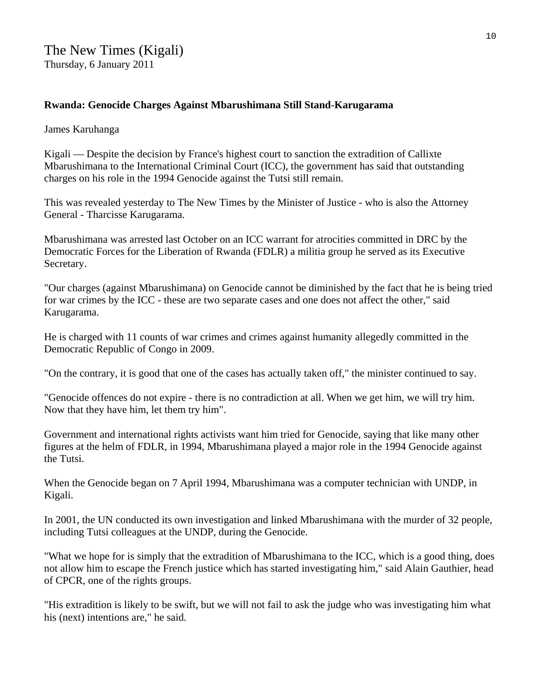# **Rwanda: Genocide Charges Against Mbarushimana Still Stand-Karugarama**

# James Karuhanga

Kigali — Despite the decision by France's highest court to sanction the extradition of Callixte Mbarushimana to the International Criminal Court (ICC), the government has said that outstanding charges on his role in the 1994 Genocide against the Tutsi still remain.

This was revealed yesterday to The New Times by the Minister of Justice - who is also the Attorney General - Tharcisse Karugarama.

Mbarushimana was arrested last October on an ICC warrant for atrocities committed in DRC by the Democratic Forces for the Liberation of Rwanda (FDLR) a militia group he served as its Executive Secretary.

"Our charges (against Mbarushimana) on Genocide cannot be diminished by the fact that he is being tried for war crimes by the ICC - these are two separate cases and one does not affect the other," said Karugarama.

He is charged with 11 counts of war crimes and crimes against humanity allegedly committed in the Democratic Republic of Congo in 2009.

"On the contrary, it is good that one of the cases has actually taken off," the minister continued to say.

"Genocide offences do not expire - there is no contradiction at all. When we get him, we will try him. Now that they have him, let them try him".

Government and international rights activists want him tried for Genocide, saying that like many other figures at the helm of FDLR, in 1994, Mbarushimana played a major role in the 1994 Genocide against the Tutsi.

When the Genocide began on 7 April 1994, Mbarushimana was a computer technician with UNDP, in Kigali.

In 2001, the UN conducted its own investigation and linked Mbarushimana with the murder of 32 people, including Tutsi colleagues at the UNDP, during the Genocide.

"What we hope for is simply that the extradition of Mbarushimana to the ICC, which is a good thing, does not allow him to escape the French justice which has started investigating him," said Alain Gauthier, head of CPCR, one of the rights groups.

"His extradition is likely to be swift, but we will not fail to ask the judge who was investigating him what his (next) intentions are," he said.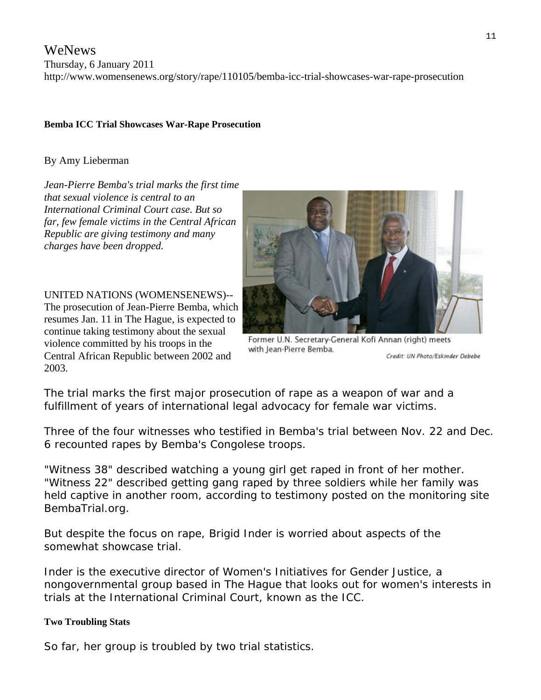## **Bemba ICC Trial Showcases War-Rape Prosecution**

## By Amy Lieberman

*Jean-Pierre Bemba's trial marks the first time that sexual violence is central to an International Criminal Court case. But so far, few female victims in the Central African Republic are giving testimony and many charges have been dropped.*

UNITED NATIONS (WOMENSENEWS)-- The prosecution of Jean-Pierre Bemba, which resumes Jan. 11 in The Hague, is expected to continue taking testimony about the sexual violence committed by his troops in the Central African Republic between 2002 and 2003.



Former U.N. Secretary-General Kofi Annan (right) meets with Jean-Pierre Bemba.

Credit: UN Photo/Eskinder Debebe

The trial marks the first major prosecution of rape as a weapon of war and a fulfillment of years of international legal advocacy for female war victims.

Three of the four witnesses who testified in Bemba's trial between Nov. 22 and Dec. 6 recounted rapes by Bemba's Congolese troops.

"Witness 38" described watching a young girl get raped in front of her mother. "Witness 22" described getting gang raped by three soldiers while her family was held captive in another room, according to testimony posted on the monitoring site BembaTrial.org.

But despite the focus on rape, Brigid Inder is worried about aspects of the somewhat showcase trial.

Inder is the executive director of Women's Initiatives for Gender Justice, a nongovernmental group based in The Hague that looks out for women's interests in trials at the International Criminal Court, known as the ICC.

#### **Two Troubling Stats**

So far, her group is troubled by two trial statistics.